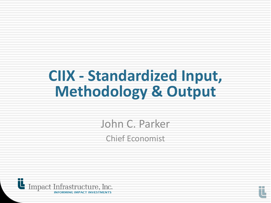# **CIIX - Standardized Input, Methodology & Output**

John C. Parker Chief Economist



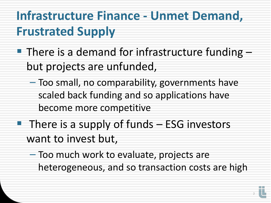# **Infrastructure Finance - Unmet Demand, Frustrated Supply**

- **There is a demand for infrastructure funding** but projects are unfunded,
	- Too small, no comparability, governments have scaled back funding and so applications have become more competitive
- $\blacksquare$  There is a supply of funds  $\blacksquare$  ESG investors want to invest but,
	- Too much work to evaluate, projects are heterogeneous, and so transaction costs are high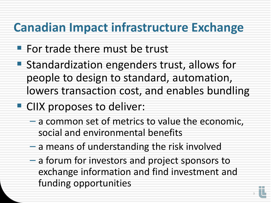### **Canadian Impact infrastructure Exchange**

- **For trade there must be trust**
- Standardization engenders trust, allows for people to design to standard, automation, lowers transaction cost, and enables bundling
- **CIIX proposes to deliver:** 
	- a common set of metrics to value the economic, social and environmental benefits
	- a means of understanding the risk involved
	- a forum for investors and project sponsors to exchange information and find investment and funding opportunities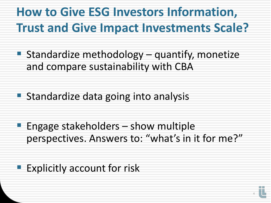### **How to Give ESG Investors Information, Trust and Give Impact Investments Scale?**

- Standardize methodology quantify, monetize and compare sustainability with CBA
- **Standardize data going into analysis**
- **Engage stakeholders show multiple** perspectives. Answers to: "what's in it for me?"
- **Explicitly account for risk**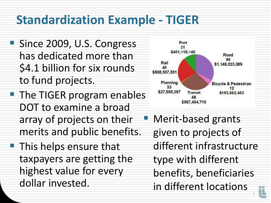# **Standardization Example - TIGER**

- Since 2009, U.S. Congress has dedicated more than \$4.1 billion for six rounds to fund projects.
- **The TIGER program enables** DOT to examine a broad array of projects on their merits and public benefits.
- **This helps ensure that** taxpayers are getting the highest value for every dollar invested.



 Merit-based grants given to projects of different infrastructure type with different benefits, beneficiaries in different locations

5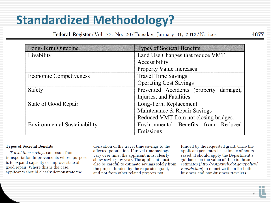## **Standardized Methodology?**

Federal Register/Vol. 77, No. 20/Tuesday, January 31, 2012/Notices

| Long-Term Outcome                   | <b>Types of Societal Benefits</b>      |  |  |
|-------------------------------------|----------------------------------------|--|--|
| Livability                          | Land Use Changes that reduce VMT       |  |  |
|                                     | Accessibility                          |  |  |
|                                     | <b>Property Value Increases</b>        |  |  |
| Economic Competiveness              | <b>Travel Time Savings</b>             |  |  |
|                                     | <b>Operating Cost Savings</b>          |  |  |
| Safety                              | Prevented Accidents (property damage), |  |  |
|                                     | Injuries, and Fatalities               |  |  |
| State of Good Repair                | Long-Term Replacement                  |  |  |
|                                     | Maintenance & Repair Savings           |  |  |
|                                     | Reduced VMT from not closing bridges.  |  |  |
| <b>Environmental Sustainability</b> | Environmental Benefits from Reduced    |  |  |
|                                     | Emissions                              |  |  |

### **Types of Societal Benefits**

Travel time savings can result from transportation improvements whose purpose is to expand capacity or improve state of good repair. Where this is the case, applicants should clearly demonstrate the

derivation of the travel time savings to the affected population. If travel time savings vary over time, the applicant must clearly show savings by year. The applicant must also be careful to estimate savings solely from the project funded by the requested grant, and not from other related projects not

funded by the requested grant. Once the applicant generates its estimate of hours saved, it should apply the Department's guidance on the value of time to those estimates (http://ostpxweb.dot.gov/policy/ reports.htm) to monetize them for both business and non-business travelers.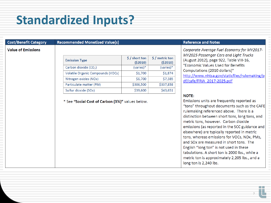# **Standardized Inputs?**

|  | <b>Cost/Benefit Categor</b> |
|--|-----------------------------|
|  |                             |

#### **Recommended Monetized Value(s)**

#### **Value of Emissions**

| <b>Emission Type</b>              | $$ /$ short ton<br>( \$2010) | $$/$ metric ton<br>(52010) |
|-----------------------------------|------------------------------|----------------------------|
| Carbon dioxide (CO <sub>2</sub> ) | (varies)*                    | $(varies)*$                |
| Volatile Organic Compounds (VOCs) | \$1,700                      | \$1,874                    |
| Nitrogen oxides (NOx)             | \$6,700                      | \$7,385                    |
| Particulate matter (PM)           | \$306,500                    | \$337,858                  |
| Sulfur dioxide (SOx)              | \$39,600                     | \$43,651                   |

\* See "Social Cost of Carbon (3%)" values below.

#### **Reference and Notes**

Corporate Average Fuel Economy for MY2017-MY2025 Passenger Cars and Light Trucks (August 2012), page 922, Table VIII-16, "Economic Values Used for Benefits Computations (2010 dollars)" http://www.nhtsa.gov/staticfiles/rulemaking/p df/cafe/FRIA 2017-2025.pdf

#### **NOTE:**

Emissions units are frequently reported as "tons" throughout documents such as the CAFE rulemaking referenced above. There is a distinction between short tons, long tons, and metric tons, however. Carbon dioxide emissions (as reported in the SCC guidance and elsewhere) are typically reported in metric tons, whereas emissions for VOCs, NOx, PMs, and SO<sub>x</sub> are measured in short tons. The English "long ton" is not used in these tabulations. A short ton is 2000 lbs., while a metric ton is approximately 2,205 lbs., and a long ton is 2,240 lbs.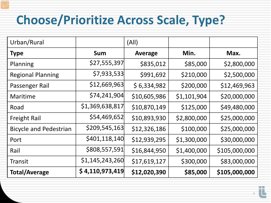# **Choose/Prioritize Across Scale, Type?**

| Urban/Rural                   |                 | (A  )          |             |               |
|-------------------------------|-----------------|----------------|-------------|---------------|
| <b>Type</b>                   | Sum             | <b>Average</b> | Min.        | Max.          |
| Planning                      | \$27,555,397    | \$835,012      | \$85,000    | \$2,800,000   |
| <b>Regional Planning</b>      | \$7,933,533     | \$991,692      | \$210,000   | \$2,500,000   |
| Passenger Rail                | \$12,669,963    | \$6,334,982    | \$200,000   | \$12,469,963  |
| Maritime                      | \$74,241,904    | \$10,605,986   | \$1,101,904 | \$20,000,000  |
| Road                          | \$1,369,638,817 | \$10,870,149   | \$125,000   | \$49,480,000  |
| <b>Freight Rail</b>           | \$54,469,652    | \$10,893,930   | \$2,800,000 | \$25,000,000  |
| <b>Bicycle and Pedestrian</b> | \$209,545,163   | \$12,326,186   | \$100,000   | \$25,000,000  |
| Port                          | \$401,118,140   | \$12,939,295   | \$1,300,000 | \$30,000,000  |
| Rail                          | \$808,557,591   | \$16,844,950   | \$1,400,000 | \$105,000,000 |
| <b>Transit</b>                | \$1,145,243,260 | \$17,619,127   | \$300,000   | \$83,000,000  |
| <b>Total/Average</b>          | \$4,110,973,419 | \$12,020,390   | \$85,000    | \$105,000,000 |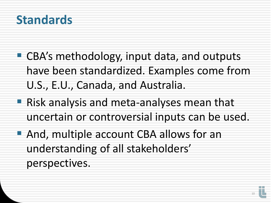### **Standards**

- CBA's methodology, input data, and outputs have been standardized. Examples come from U.S., E.U., Canada, and Australia.
- **Risk analysis and meta-analyses mean that** uncertain or controversial inputs can be used.
- **And, multiple account CBA allows for an** understanding of all stakeholders' perspectives.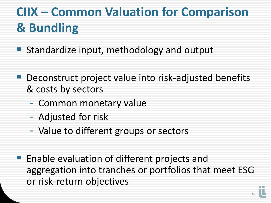# **CIIX – Common Valuation for Comparison & Bundling**

- **Standardize input, methodology and output**
- Deconstruct project value into risk-adjusted benefits & costs by sectors
	- Common monetary value
	- Adjusted for risk
	- Value to different groups or sectors
- **Enable evaluation of different projects and** aggregation into tranches or portfolios that meet ESG or risk-return objectives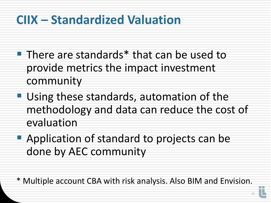### **CIIX – Standardized Valuation**

- **There are standards**\* that can be used to provide metrics the impact investment community
- **Using these standards, automation of the** methodology and data can reduce the cost of evaluation
- **Application of standard to projects can be** done by AEC community

\* Multiple account CBA with risk analysis. Also BIM and Envision.